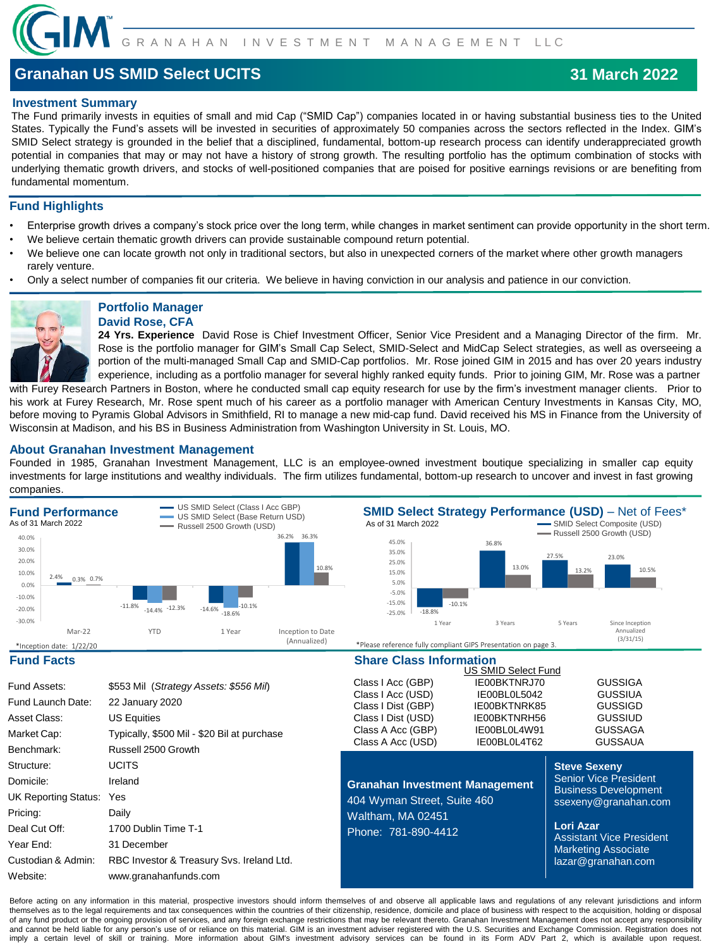

# **Granahan US SMID Select UCITS**

## **Investment Summary**

The Fund primarily invests in equities of small and mid Cap ("SMID Cap") companies located in or having substantial business ties to the United States. Typically the Fund's assets will be invested in securities of approximately 50 companies across the sectors reflected in the Index. GIM's SMID Select strategy is grounded in the belief that a disciplined, fundamental, bottom-up research process can identify underappreciated growth potential in companies that may or may not have a history of strong growth. The resulting portfolio has the optimum combination of stocks with underlying thematic growth drivers, and stocks of well-positioned companies that are poised for positive earnings revisions or are benefiting from fundamental momentum.

## **Fund Highlights**

- Enterprise growth drives a company's stock price over the long term, while changes in market sentiment can provide opportunity in the short term.
- We believe certain thematic growth drivers can provide sustainable compound return potential.
- We believe one can locate growth not only in traditional sectors, but also in unexpected corners of the market where other growth managers rarely venture.
- Only a select number of companies fit our criteria. We believe in having conviction in our analysis and patience in our conviction.



### **Portfolio Manager David Rose, CFA**

**24 Yrs. Experience** David Rose is Chief Investment Officer, Senior Vice President and a Managing Director of the firm. Mr. Rose is the portfolio manager for GIM's Small Cap Select, SMID-Select and MidCap Select strategies, as well as overseeing a portion of the multi-managed Small Cap and SMID-Cap portfolios. Mr. Rose joined GIM in 2015 and has over 20 years industry experience, including as a portfolio manager for several highly ranked equity funds. Prior to joining GIM, Mr. Rose was a partner

with Furey Research Partners in Boston, where he conducted small cap equity research for use by the firm's investment manager clients. Prior to his work at Furey Research, Mr. Rose spent much of his career as a portfolio manager with American Century Investments in Kansas City, MO, before moving to Pyramis Global Advisors in Smithfield, RI to manage a new mid-cap fund. David received his MS in Finance from the University of Wisconsin at Madison, and his BS in Business Administration from Washington University in St. Louis, MO.

## **About Granahan Investment Management**

Founded in 1985, Granahan Investment Management, LLC is an employee-owned investment boutique specializing in smaller cap equity investments for large institutions and wealthy individuals. The firm utilizes fundamental, bottom-up research to uncover and invest in fast growing companies.



Before acting on any information in this material, prospective investors should inform themselves of and observe all applicable laws and regulations of any relevant jurisdictions and inform themselves as to the legal requirements and tax consequences within the countries of their citizenship, residence, domicile and place of business with respect to the acquisition, holding or disposal of any fund product or the ongoing provision of services, and any foreign exchange restrictions that may be relevant thereto. Granahan Investment Management does not accept any responsibility and cannot be held liable for any person's use of or reliance on this material. GIM is an investment adviser registered with the U.S. Securities and Exchange Commission. Registration does not imply a certain level of skill or training. More information about GIM's investment advisory services can be found in its Form ADV Part 2, which is available upon request.

## **31 March 2022**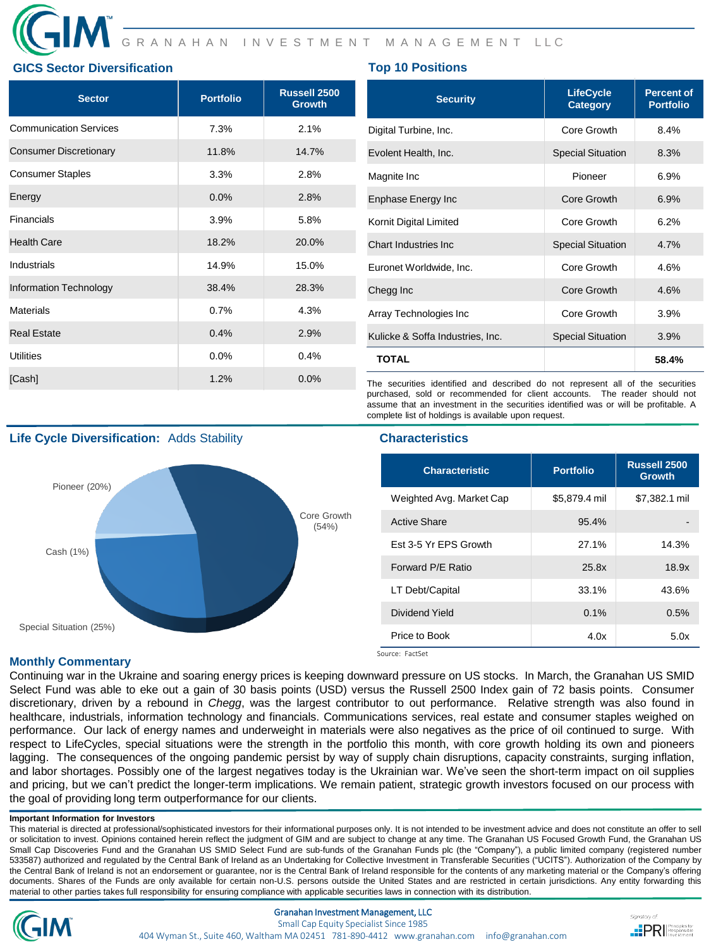## **GICS Sector Diversification Top 10 Positions**

| <b>Sector</b>                 | <b>Portfolio</b> | Russell 2500<br><b>Growth</b> | <b>Security</b>                                                                                                                                             | <b>LifeCycle</b><br>Category | <b>Percent of</b><br><b>Portfolio</b> |
|-------------------------------|------------------|-------------------------------|-------------------------------------------------------------------------------------------------------------------------------------------------------------|------------------------------|---------------------------------------|
| <b>Communication Services</b> | 7.3%             | 2.1%                          | Digital Turbine, Inc.                                                                                                                                       |                              | 8.4%                                  |
| <b>Consumer Discretionary</b> | 11.8%            | 14.7%                         | Evolent Health, Inc.                                                                                                                                        | <b>Special Situation</b>     | 8.3%                                  |
| <b>Consumer Staples</b>       | 3.3%             | 2.8%                          | Magnite Inc                                                                                                                                                 | Pioneer                      | 6.9%                                  |
| Energy                        | 0.0%             | 2.8%                          | <b>Enphase Energy Inc</b>                                                                                                                                   | Core Growth                  | 6.9%                                  |
| <b>Financials</b>             | 3.9%             | 5.8%                          | Kornit Digital Limited                                                                                                                                      | Core Growth                  | 6.2%                                  |
| <b>Health Care</b>            | 18.2%            | 20.0%                         | Chart Industries Inc.                                                                                                                                       | <b>Special Situation</b>     | 4.7%                                  |
| Industrials                   | 14.9%            | 15.0%                         | Euronet Worldwide, Inc.                                                                                                                                     | Core Growth                  | 4.6%                                  |
| <b>Information Technology</b> | 38.4%            | 28.3%                         | Chegg Inc                                                                                                                                                   | Core Growth                  | 4.6%                                  |
| Materials                     | 0.7%             | 4.3%                          | Array Technologies Inc                                                                                                                                      | Core Growth                  | 3.9%                                  |
| <b>Real Estate</b>            | 0.4%             | 2.9%                          | Kulicke & Soffa Industries, Inc.                                                                                                                            | <b>Special Situation</b>     | 3.9%                                  |
| <b>Utilities</b>              | 0.0%             | 0.4%                          | <b>TOTAL</b>                                                                                                                                                |                              | 58.4%                                 |
| [Cash]                        | 1.2%             | 0.0%                          | The securities identified and described do not represent all of the securities<br>purchased, sold or recommended for client accounts. The reader should not |                              |                                       |

**Life Cycle Diversification:** Adds Stability **Characteristics Characteristics** 



complete list of holdings is available upon request.

| <b>Characteristic</b>        | Portfolio     | Russell 2500<br><b>Growth</b> |
|------------------------------|---------------|-------------------------------|
| Weighted Avg. Market Cap     | \$5,879.4 mil | \$7,382.1 mil                 |
| <b>Active Share</b>          | 95.4%         |                               |
| <b>Fst 3-5 Yr FPS Growth</b> | 27.1%         | 14.3%                         |
| Forward P/E Ratio            | 25.8x         | 18.9x                         |
| LT Debt/Capital              | 33.1%         | 43.6%                         |
| Dividend Yield               | 0.1%          | 0.5%                          |
| Price to Book                | 4.0x          | 5.0x                          |

assume that an investment in the securities identified was or will be profitable. A

Source: FactSet

## **Monthly Commentary**

Continuing war in the Ukraine and soaring energy prices is keeping downward pressure on US stocks. In March, the Granahan US SMID Select Fund was able to eke out a gain of 30 basis points (USD) versus the Russell 2500 Index gain of 72 basis points. Consumer discretionary, driven by a rebound in *Chegg*, was the largest contributor to out performance. Relative strength was also found in healthcare, industrials, information technology and financials. Communications services, real estate and consumer staples weighed on performance. Our lack of energy names and underweight in materials were also negatives as the price of oil continued to surge. With respect to LifeCycles, special situations were the strength in the portfolio this month, with core growth holding its own and pioneers lagging. The consequences of the ongoing pandemic persist by way of supply chain disruptions, capacity constraints, surging inflation, and labor shortages. Possibly one of the largest negatives today is the Ukrainian war. We've seen the short-term impact on oil supplies and pricing, but we can't predict the longer-term implications. We remain patient, strategic growth investors focused on our process with the goal of providing long term outperformance for our clients.

### **Important Information for Investors**

This material is directed at professional/sophisticated investors for their informational purposes only. It is not intended to be investment advice and does not constitute an offer to sell or solicitation to invest. Opinions contained herein reflect the judgment of GIM and are subject to change at any time. The Granahan US Focused Growth Fund, the Granahan US Small Cap Discoveries Fund and the Granahan US SMID Select Fund are sub-funds of the Granahan Funds plc (the "Company"), a public limited company (registered number 533587) authorized and regulated by the Central Bank of Ireland as an Undertaking for Collective Investment in Transferable Securities ("UCITS"). Authorization of the Company by the Central Bank of Ireland is not an endorsement or guarantee, nor is the Central Bank of Ireland responsible for the contents of any marketing material or the Company's offering documents. Shares of the Funds are only available for certain non-U.S. persons outside the United States and are restricted in certain jurisdictions. Any entity forwarding this material to other parties takes full responsibility for ensuring compliance with applicable securities laws in connection with its distribution.